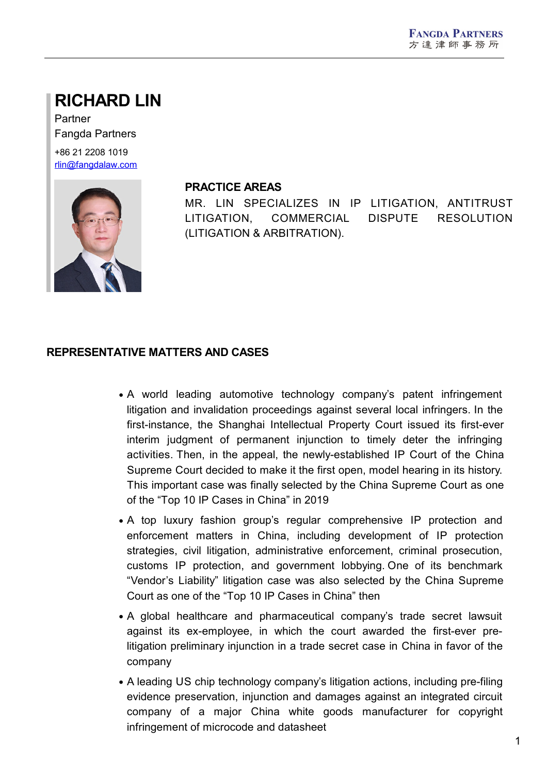# **RICHARD LIN**

Partner Fangda Partners +86 21 2208 1019

[rlin@fangdalaw.com](mailto:rlin@fangdalaw.com)



#### **PRACTICE AREAS**

MR. LIN SPECIALIZES IN IP LITIGATION, ANTITRUST LITIGATION, COMMERCIAL DISPUTE RESOLUTION (LITIGATION & ARBITRATION).

#### **REPRESENTATIVE MATTERS AND CASES**

- A world leading automotive technology company's patent infringement litigation and invalidation proceedings against several local infringers. In the first-instance, the Shanghai Intellectual Property Court issued its first-ever interim judgment of permanent injunction to timely deter the infringing activities. Then, in the appeal, the newly-established IP Court of the China Supreme Court decided to make it the first open, model hearing in its history. This important case was finally selected by the China Supreme Court as one of the "Top 10 IP Cases in China" in 2019
- A top luxury fashion group's regular comprehensive IP protection and enforcement matters in China, including development of IP protection strategies, civil litigation, administrative enforcement, criminal prosecution, customs IP protection, and government lobbying. One of its benchmark "Vendor's Liability" litigation case was also selected by the China Supreme Court as one of the "Top 10 IP Cases in China" then
- A global healthcare and pharmaceutical company's trade secret lawsuit against its ex-employee, in which the court awarded the first-ever prelitigation preliminary injunction in a trade secret case in China in favor of the company
- A leading US chip technology company's litigation actions, including pre-filing evidence preservation, injunction and damages against an integrated circuit company of a major China white goods manufacturer for copyright infringement of microcode and datasheet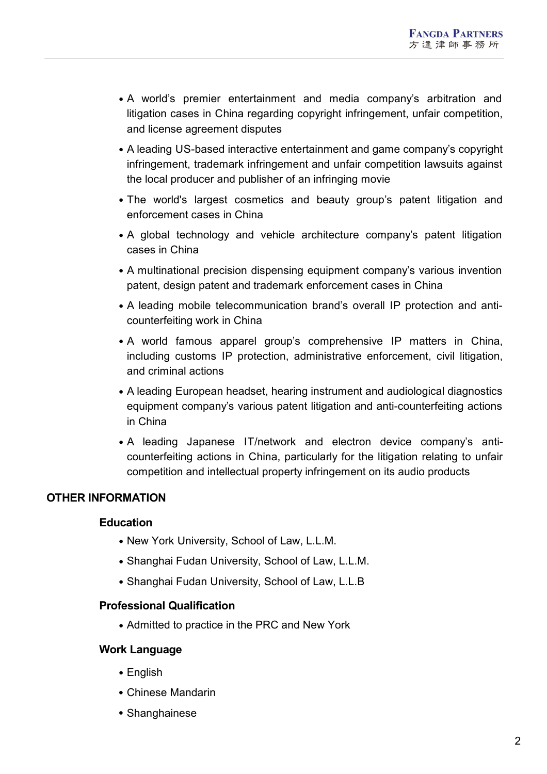- A world's premier entertainment and media company's arbitration and litigation cases in China regarding copyright infringement, unfair competition, and license agreement disputes
- A leading US-based interactive entertainment and game company's copyright infringement, trademark infringement and unfair competition lawsuits against the local producer and publisher of an infringing movie
- The world's largest cosmetics and beauty group's patent litigation and enforcement cases in China
- A global technology and vehicle architecture company's patent litigation cases in China
- A multinational precision dispensing equipment company's various invention patent, design patent and trademark enforcement cases in China
- A leading mobile telecommunication brand's overall IP protection and anticounterfeiting work in China
- A world famous apparel group's comprehensive IP matters in China, including customs IP protection, administrative enforcement, civil litigation, and criminal actions
- A leading European headset, hearing instrument and audiological diagnostics equipment company's various patent litigation and anti-counterfeiting actions in China
- A leading Japanese IT/network and electron device company's anticounterfeiting actions in China, particularly for the litigation relating to unfair competition and intellectual property infringement on its audio products

## **OTHER INFORMATION**

## **Education**

- New York University, School of Law, L.L.M.
- Shanghai Fudan University, School of Law, L.L.M.
- Shanghai Fudan University, School of Law, L.L.B

#### **Professional Qualification**

• Admitted to practice in the PRC and New York

## **Work Language**

- English
- Chinese Mandarin
- Shanghainese